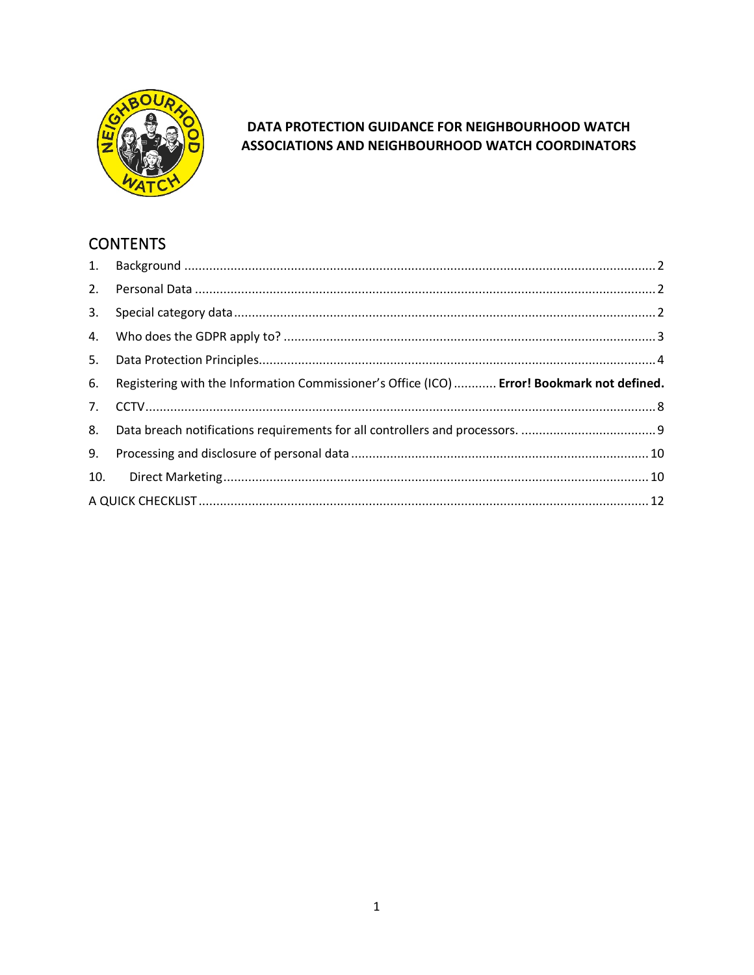

### DATA PROTECTION GUIDANCE FOR NEIGHBOURHOOD WATCH ASSOCIATIONS AND NEIGHBOURHOOD WATCH COORDINATORS

# **CONTENTS**

| 3. |                                                                                            |  |
|----|--------------------------------------------------------------------------------------------|--|
|    |                                                                                            |  |
| 5. |                                                                                            |  |
| 6. | Registering with the Information Commissioner's Office (ICO)  Error! Bookmark not defined. |  |
|    |                                                                                            |  |
|    |                                                                                            |  |
| 8. |                                                                                            |  |
| 9. |                                                                                            |  |
|    |                                                                                            |  |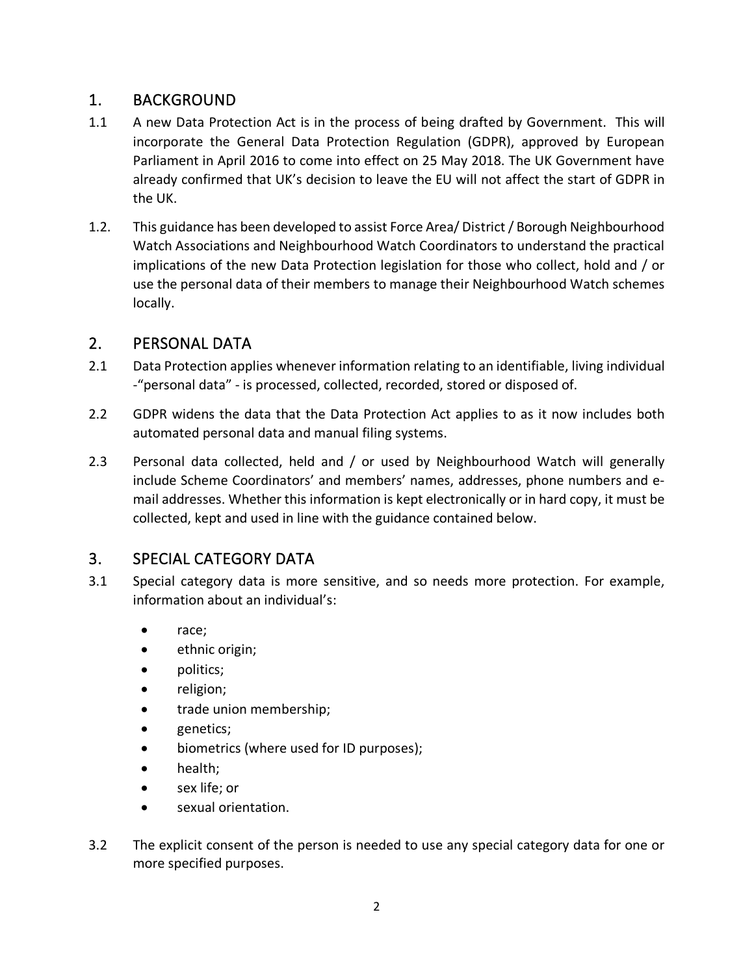## <span id="page-1-0"></span>1. BACKGROUND

- 1.1 A new Data Protection Act is in the process of being drafted by Government. This will incorporate the General Data Protection Regulation (GDPR), approved by European Parliament in April 2016 to come into effect on 25 May 2018. The UK Government have already confirmed that UK's decision to leave the EU will not affect the start of GDPR in the UK.
- 1.2. This guidance has been developed to assist Force Area/ District / Borough Neighbourhood Watch Associations and Neighbourhood Watch Coordinators to understand the practical implications of the new Data Protection legislation for those who collect, hold and / or use the personal data of their members to manage their Neighbourhood Watch schemes locally.

## <span id="page-1-1"></span>2. PERSONAL DATA

- 2.1 Data Protection applies whenever information relating to an identifiable, living individual -"personal data" - is processed, collected, recorded, stored or disposed of.
- 2.2 GDPR widens the data that the Data Protection Act applies to as it now includes both automated personal data and manual filing systems.
- 2.3 Personal data collected, held and / or used by Neighbourhood Watch will generally include Scheme Coordinators' and members' names, addresses, phone numbers and email addresses. Whether this information is kept electronically or in hard copy, it must be collected, kept and used in line with the guidance contained below.

## <span id="page-1-2"></span>3. SPECIAL CATEGORY DATA

- 3.1 Special category data is more sensitive, and so needs more protection. For example, information about an individual's:
	- race;
	- ethnic origin;
	- politics;
	- religion;
	- trade union membership;
	- genetics;
	- biometrics (where used for ID purposes);
	- health;
	- sex life; or
	- sexual orientation.
- 3.2 The explicit consent of the person is needed to use any special category data for one or more specified purposes.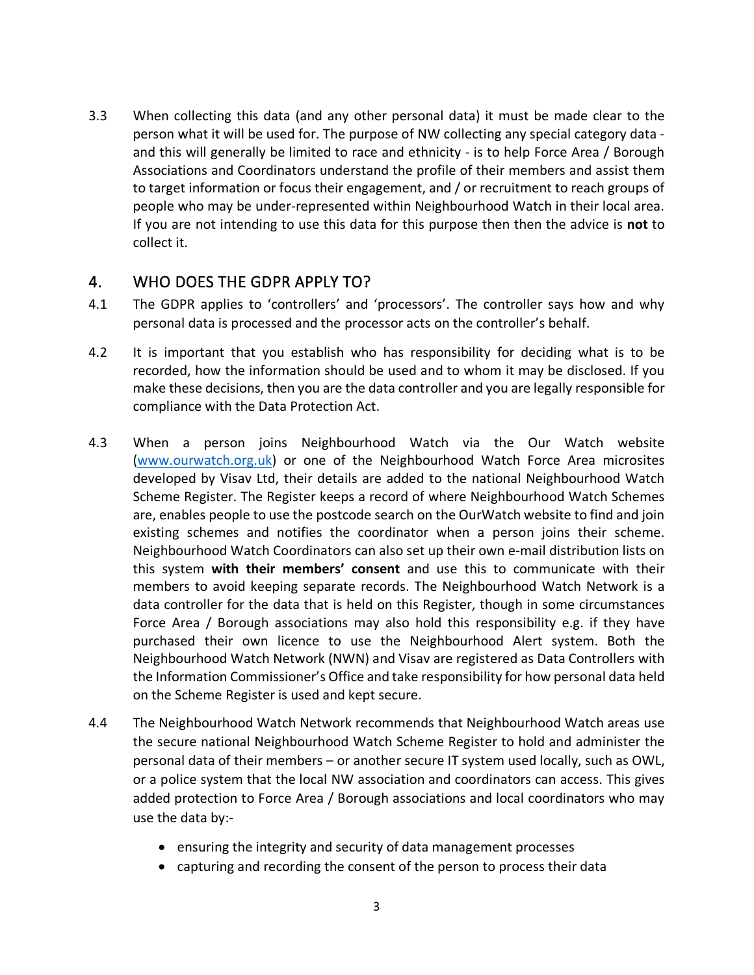3.3 When collecting this data (and any other personal data) it must be made clear to the person what it will be used for. The purpose of NW collecting any special category data and this will generally be limited to race and ethnicity - is to help Force Area / Borough Associations and Coordinators understand the profile of their members and assist them to target information or focus their engagement, and / or recruitment to reach groups of people who may be under-represented within Neighbourhood Watch in their local area. If you are not intending to use this data for this purpose then then the advice is **not** to collect it.

### <span id="page-2-0"></span>4. WHO DOES THE GDPR APPLY TO?

- 4.1 The GDPR applies to 'controllers' and 'processors'. The controller says how and why personal data is processed and the processor acts on the controller's behalf.
- 4.2 It is important that you establish who has responsibility for deciding what is to be recorded, how the information should be used and to whom it may be disclosed. If you make these decisions, then you are the data controller and you are legally responsible for compliance with the Data Protection Act.
- 4.3 When a person joins Neighbourhood Watch via the Our Watch website [\(www.ourwatch.org.uk\)](http://www.ourwatch.org.uk/) or one of the Neighbourhood Watch Force Area microsites developed by Visav Ltd, their details are added to the national Neighbourhood Watch Scheme Register. The Register keeps a record of where Neighbourhood Watch Schemes are, enables people to use the postcode search on the OurWatch website to find and join existing schemes and notifies the coordinator when a person joins their scheme. Neighbourhood Watch Coordinators can also set up their own e-mail distribution lists on this system **with their members' consent** and use this to communicate with their members to avoid keeping separate records. The Neighbourhood Watch Network is a data controller for the data that is held on this Register, though in some circumstances Force Area / Borough associations may also hold this responsibility e.g. if they have purchased their own licence to use the Neighbourhood Alert system. Both the Neighbourhood Watch Network (NWN) and Visav are registered as Data Controllers with the Information Commissioner's Office and take responsibility for how personal data held on the Scheme Register is used and kept secure.
- 4.4 The Neighbourhood Watch Network recommends that Neighbourhood Watch areas use the secure national Neighbourhood Watch Scheme Register to hold and administer the personal data of their members – or another secure IT system used locally, such as OWL, or a police system that the local NW association and coordinators can access. This gives added protection to Force Area / Borough associations and local coordinators who may use the data by:-
	- ensuring the integrity and security of data management processes
	- capturing and recording the consent of the person to process their data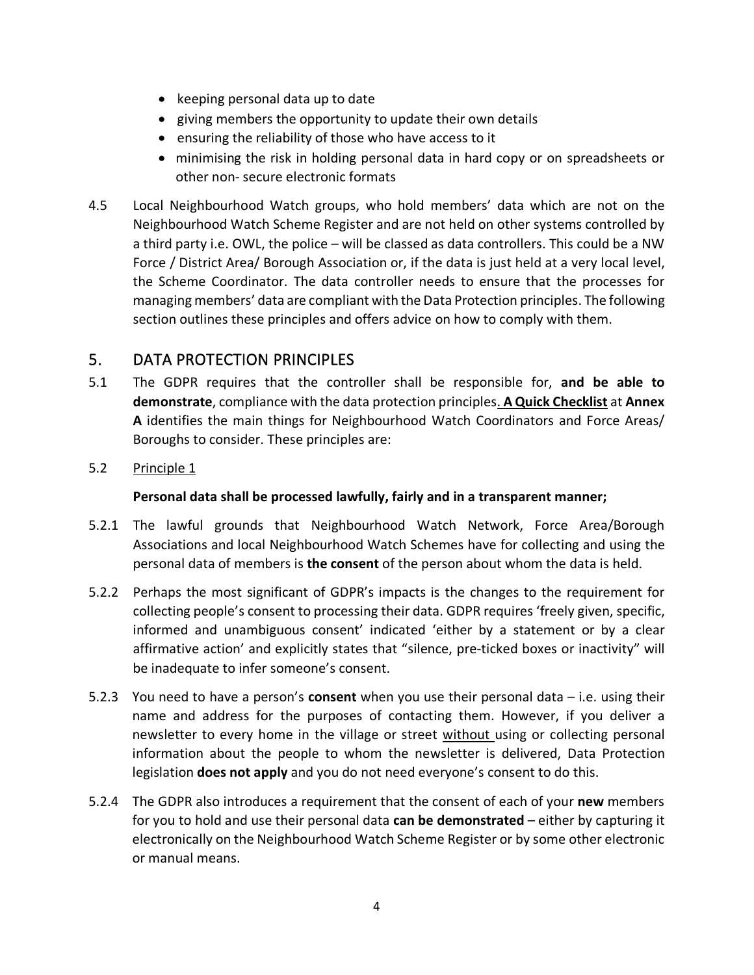- keeping personal data up to date
- giving members the opportunity to update their own details
- ensuring the reliability of those who have access to it
- minimising the risk in holding personal data in hard copy or on spreadsheets or other non- secure electronic formats
- 4.5 Local Neighbourhood Watch groups, who hold members' data which are not on the Neighbourhood Watch Scheme Register and are not held on other systems controlled by a third party i.e. OWL, the police – will be classed as data controllers. This could be a NW Force / District Area/ Borough Association or, if the data is just held at a very local level, the Scheme Coordinator. The data controller needs to ensure that the processes for managing members' data are compliant with the Data Protection principles. The following section outlines these principles and offers advice on how to comply with them.

## <span id="page-3-0"></span>5. DATA PROTECTION PRINCIPLES

- 5.1 The GDPR requires that the controller shall be responsible for, **and be able to demonstrate**, compliance with the data protection principles. **A Quick Checklist** at **Annex A** identifies the main things for Neighbourhood Watch Coordinators and Force Areas/ Boroughs to consider. These principles are:
- 5.2 Principle 1

#### **Personal data shall be processed lawfully, fairly and in a transparent manner;**

- 5.2.1 The lawful grounds that Neighbourhood Watch Network, Force Area/Borough Associations and local Neighbourhood Watch Schemes have for collecting and using the personal data of members is **the consent** of the person about whom the data is held.
- 5.2.2 Perhaps the most significant of GDPR's impacts is the changes to the requirement for collecting people's consent to processing their data. GDPR requires 'freely given, specific, informed and unambiguous consent' indicated 'either by a statement or by a clear affirmative action' and explicitly states that "silence, pre-ticked boxes or inactivity" will be inadequate to infer someone's consent.
- 5.2.3 You need to have a person's **consent** when you use their personal data i.e. using their name and address for the purposes of contacting them. However, if you deliver a newsletter to every home in the village or street without using or collecting personal information about the people to whom the newsletter is delivered, Data Protection legislation **does not apply** and you do not need everyone's consent to do this.
- 5.2.4 The GDPR also introduces a requirement that the consent of each of your **new** members for you to hold and use their personal data **can be demonstrated** – either by capturing it electronically on the Neighbourhood Watch Scheme Register or by some other electronic or manual means.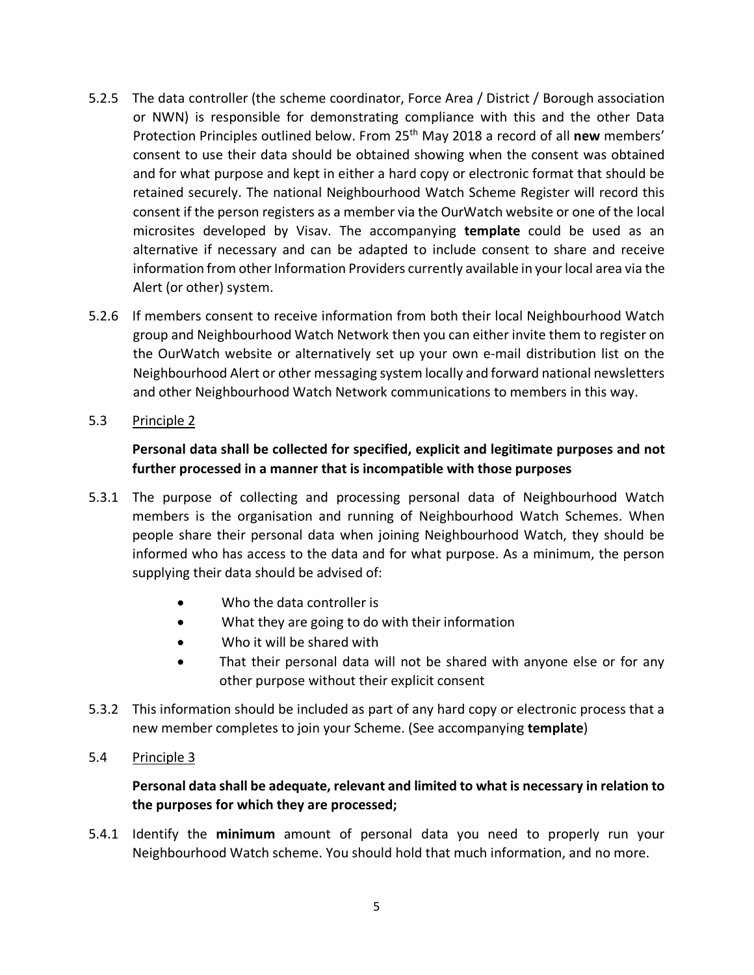- 5.2.5 The data controller (the scheme coordinator, Force Area / District / Borough association or NWN) is responsible for demonstrating compliance with this and the other Data Protection Principles outlined below. From 25th May 2018 a record of all **new** members' consent to use their data should be obtained showing when the consent was obtained and for what purpose and kept in either a hard copy or electronic format that should be retained securely. The national Neighbourhood Watch Scheme Register will record this consent if the person registers as a member via the OurWatch website or one of the local microsites developed by Visav. The accompanying **template** could be used as an alternative if necessary and can be adapted to include consent to share and receive information from other Information Providers currently available in your local area via the Alert (or other) system.
- 5.2.6 If members consent to receive information from both their local Neighbourhood Watch group and Neighbourhood Watch Network then you can either invite them to register on the OurWatch website or alternatively set up your own e-mail distribution list on the Neighbourhood Alert or other messaging system locally and forward national newsletters and other Neighbourhood Watch Network communications to members in this way.
- 5.3 Principle 2

### **Personal data shall be collected for specified, explicit and legitimate purposes and not further processed in a manner that is incompatible with those purposes**

- 5.3.1 The purpose of collecting and processing personal data of Neighbourhood Watch members is the organisation and running of Neighbourhood Watch Schemes. When people share their personal data when joining Neighbourhood Watch, they should be informed who has access to the data and for what purpose. As a minimum, the person supplying their data should be advised of:
	- Who the data controller is
	- What they are going to do with their information
	- Who it will be shared with
	- That their personal data will not be shared with anyone else or for any other purpose without their explicit consent
- 5.3.2 This information should be included as part of any hard copy or electronic process that a new member completes to join your Scheme. (See accompanying **template**)
- 5.4 Principle 3

### **Personal data shall be adequate, relevant and limited to what is necessary in relation to the purposes for which they are processed;**

5.4.1 Identify the **minimum** amount of personal data you need to properly run your Neighbourhood Watch scheme. You should hold that much information, and no more.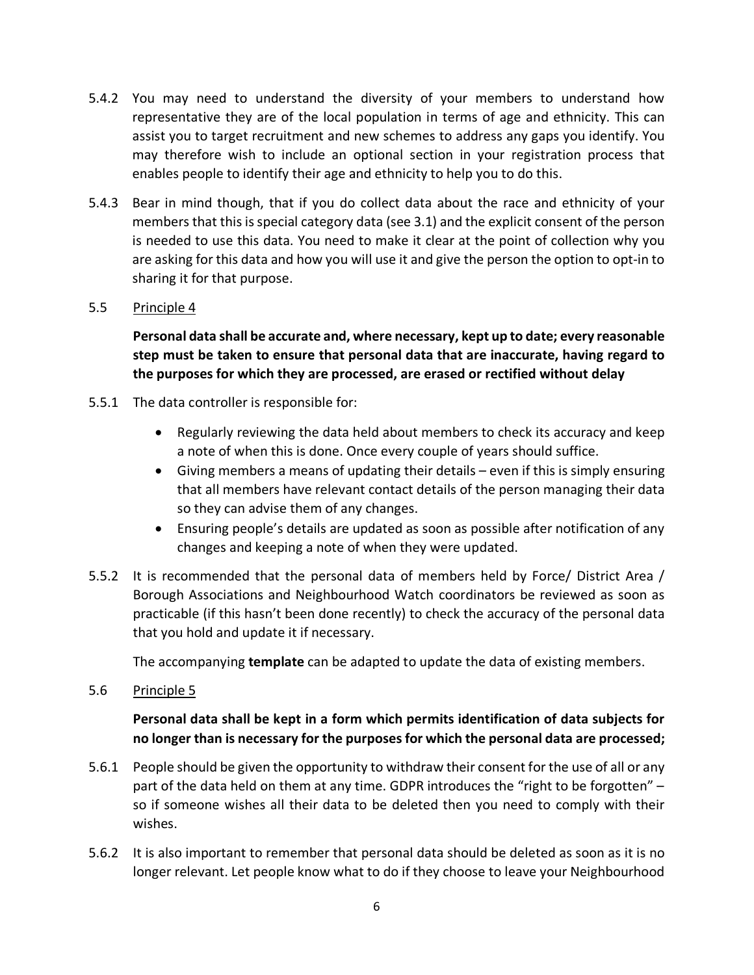- 5.4.2 You may need to understand the diversity of your members to understand how representative they are of the local population in terms of age and ethnicity. This can assist you to target recruitment and new schemes to address any gaps you identify. You may therefore wish to include an optional section in your registration process that enables people to identify their age and ethnicity to help you to do this.
- 5.4.3 Bear in mind though, that if you do collect data about the race and ethnicity of your members that thisis special category data (see 3.1) and the explicit consent of the person is needed to use this data. You need to make it clear at the point of collection why you are asking for this data and how you will use it and give the person the option to opt-in to sharing it for that purpose.

#### 5.5 Principle 4

**Personal data shall be accurate and, where necessary, kept up to date; every reasonable step must be taken to ensure that personal data that are inaccurate, having regard to the purposes for which they are processed, are erased or rectified without delay**

- 5.5.1 The data controller is responsible for:
	- Regularly reviewing the data held about members to check its accuracy and keep a note of when this is done. Once every couple of years should suffice.
	- Giving members a means of updating their details even if this is simply ensuring that all members have relevant contact details of the person managing their data so they can advise them of any changes.
	- Ensuring people's details are updated as soon as possible after notification of any changes and keeping a note of when they were updated.
- 5.5.2 It is recommended that the personal data of members held by Force/ District Area / Borough Associations and Neighbourhood Watch coordinators be reviewed as soon as practicable (if this hasn't been done recently) to check the accuracy of the personal data that you hold and update it if necessary.

The accompanying **template** can be adapted to update the data of existing members.

5.6 Principle 5

### **Personal data shall be kept in a form which permits identification of data subjects for no longer than is necessary for the purposes for which the personal data are processed;**

- 5.6.1 People should be given the opportunity to withdraw their consent for the use of all or any part of the data held on them at any time. GDPR introduces the "right to be forgotten" so if someone wishes all their data to be deleted then you need to comply with their wishes.
- 5.6.2 It is also important to remember that personal data should be deleted as soon as it is no longer relevant. Let people know what to do if they choose to leave your Neighbourhood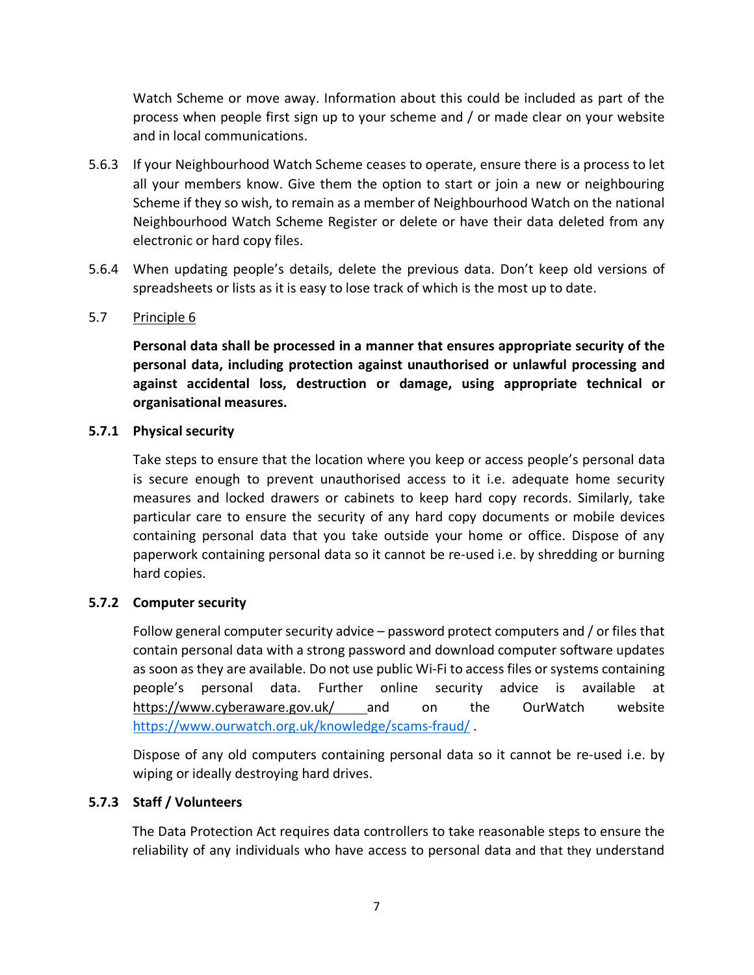Watch Scheme or move away. Information about this could be included as part of the process when people first sign up to your scheme and / or made clear on your website and in local communications.

- 5.6.3 If your Neighbourhood Watch Scheme ceases to operate, ensure there is a process to let all your members know. Give them the option to start or join a new or neighbouring Scheme if they so wish, to remain as a member of Neighbourhood Watch on the national Neighbourhood Watch Scheme Register or delete or have their data deleted from any electronic or hard copy files.
- 5.6.4 When updating people's details, delete the previous data. Don't keep old versions of spreadsheets or lists as it is easy to lose track of which is the most up to date.

#### 5.7 Principle 6

**Personal data shall be processed in a manner that ensures appropriate security of the personal data, including protection against unauthorised or unlawful processing and against accidental loss, destruction or damage, using appropriate technical or organisational measures.**

#### **5.7.1 Physical security**

Take steps to ensure that the location where you keep or access people's personal data is secure enough to prevent unauthorised access to it i.e. adequate home security measures and locked drawers or cabinets to keep hard copy records. Similarly, take particular care to ensure the security of any hard copy documents or mobile devices containing personal data that you take outside your home or office. Dispose of any paperwork containing personal data so it cannot be re-used i.e. by shredding or burning hard copies.

#### **5.7.2 Computer security**

Follow general computer security advice – password protect computers and / or files that contain personal data with a strong password and download computer software updates as soon as they are available. Do not use public Wi-Fi to access files or systems containing people's personal data. Further online security advice is available at <https://www.cyberaware.gov.uk/> and on the OurWatch website <https://www.ourwatch.org.uk/knowledge/scams-fraud/> .

Dispose of any old computers containing personal data so it cannot be re-used i.e. by wiping or ideally destroying hard drives.

#### **5.7.3 Staff / Volunteers**

The Data Protection Act requires data controllers to take reasonable steps to ensure the reliability of any individuals who have access to personal data and that they understand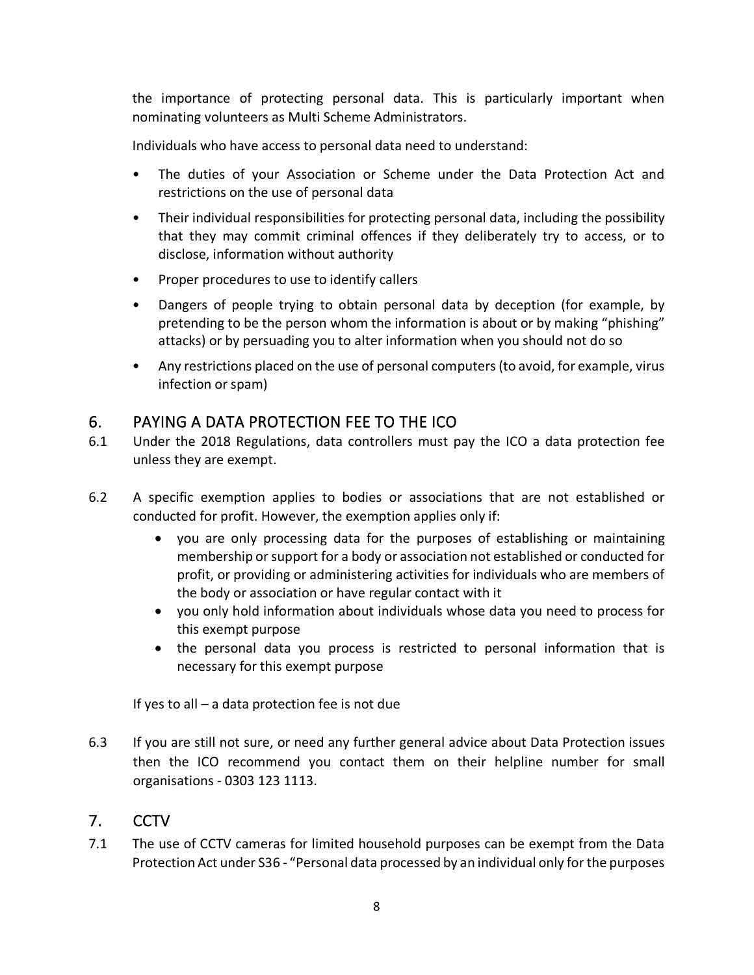the importance of protecting personal data. This is particularly important when nominating volunteers as Multi Scheme Administrators.

Individuals who have access to personal data need to understand:

- The duties of your Association or Scheme under the Data Protection Act and restrictions on the use of personal data
- Their individual responsibilities for protecting personal data, including the possibility that they may commit criminal offences if they deliberately try to access, or to disclose, information without authority
- Proper procedures to use to identify callers
- Dangers of people trying to obtain personal data by deception (for example, by pretending to be the person whom the information is about or by making "phishing" attacks) or by persuading you to alter information when you should not do so
- Any restrictions placed on the use of personal computers (to avoid, for example, virus infection or spam)

## <span id="page-7-0"></span>6. PAYING A DATA PROTECTION FEE TO THE ICO

- 6.1 Under the 2018 Regulations, data controllers must pay the ICO a data protection fee unless they are exempt.
- 6.2 A specific exemption applies to bodies or associations that are not established or conducted for profit. However, the exemption applies only if:
	- you are only processing data for the purposes of establishing or maintaining membership or support for a body or association not established or conducted for profit, or providing or administering activities for individuals who are members of the body or association or have regular contact with it
	- you only hold information about individuals whose data you need to process for this exempt purpose
	- the personal data you process is restricted to personal information that is necessary for this exempt purpose

If yes to all – a data protection fee is not due

6.3 If you are still not sure, or need any further general advice about Data Protection issues then the ICO recommend you contact them on their helpline number for small organisations - 0303 123 1113.

## 7. CCTV

7.1 The use of CCTV cameras for limited household purposes can be exempt from the Data Protection Act under S36 - "Personal data processed by an individual only for the purposes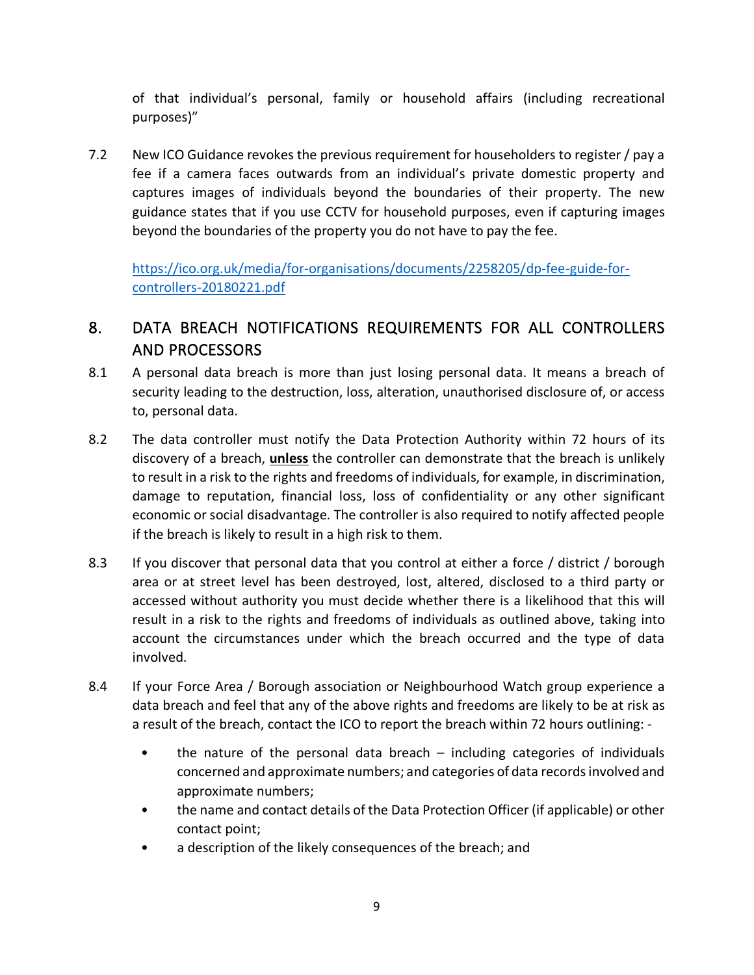of that individual's personal, family or household affairs (including recreational purposes)"

7.2 New ICO Guidance revokes the previous requirement for householders to register / pay a fee if a camera faces outwards from an individual's private domestic property and captures images of individuals beyond the boundaries of their property. The new guidance states that if you use CCTV for household purposes, even if capturing images beyond the boundaries of the property you do not have to pay the fee.

[https://ico.org.uk/media/for-organisations/documents/2258205/dp-fee-guide-for](https://ico.org.uk/media/for-organisations/documents/2258205/dp-fee-guide-for-controllers-20180221.pdf)[controllers-20180221.pdf](https://ico.org.uk/media/for-organisations/documents/2258205/dp-fee-guide-for-controllers-20180221.pdf)

## <span id="page-8-0"></span>8. DATA BREACH NOTIFICATIONS REQUIREMENTS FOR ALL CONTROLLERS AND PROCESSORS

- 8.1 A personal data breach is more than just losing personal data. It means a breach of security leading to the destruction, loss, alteration, unauthorised disclosure of, or access to, personal data.
- 8.2 The data controller must notify the Data Protection Authority within 72 hours of its discovery of a breach, **unless** the controller can demonstrate that the breach is unlikely to result in a risk to the rights and freedoms of individuals, for example, in discrimination, damage to reputation, financial loss, loss of confidentiality or any other significant economic or social disadvantage. The controller is also required to notify affected people if the breach is likely to result in a high risk to them.
- 8.3 If you discover that personal data that you control at either a force / district / borough area or at street level has been destroyed, lost, altered, disclosed to a third party or accessed without authority you must decide whether there is a likelihood that this will result in a risk to the rights and freedoms of individuals as outlined above, taking into account the circumstances under which the breach occurred and the type of data involved.
- 8.4 If your Force Area / Borough association or Neighbourhood Watch group experience a data breach and feel that any of the above rights and freedoms are likely to be at risk as a result of the breach, contact the ICO to report the breach within 72 hours outlining: -
	- the nature of the personal data breach including categories of individuals concerned and approximate numbers; and categories of data records involved and approximate numbers;
	- the name and contact details of the Data Protection Officer (if applicable) or other contact point;
	- a description of the likely consequences of the breach; and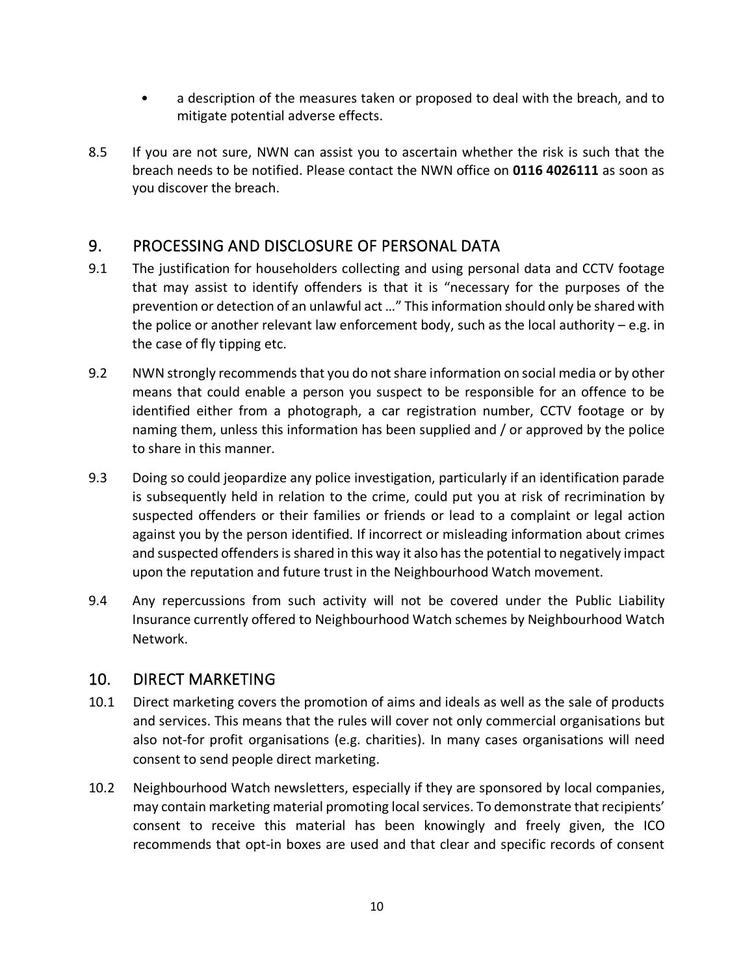- a description of the measures taken or proposed to deal with the breach, and to mitigate potential adverse effects.
- 8.5 If you are not sure, NWN can assist you to ascertain whether the risk is such that the breach needs to be notified. Please contact the NWN office on **0116 4026111** as soon as you discover the breach.

## <span id="page-9-0"></span>9. PROCESSING AND DISCLOSURE OF PERSONAL DATA

- 9.1 The justification for householders collecting and using personal data and CCTV footage that may assist to identify offenders is that it is "necessary for the purposes of the prevention or detection of an unlawful act …" This information should only be shared with the police or another relevant law enforcement body, such as the local authority – e.g. in the case of fly tipping etc.
- 9.2 NWN strongly recommendsthat you do not share information on social media or by other means that could enable a person you suspect to be responsible for an offence to be identified either from a photograph, a car registration number, CCTV footage or by naming them, unless this information has been supplied and / or approved by the police to share in this manner.
- 9.3 Doing so could jeopardize any police investigation, particularly if an identification parade is subsequently held in relation to the crime, could put you at risk of recrimination by suspected offenders or their families or friends or lead to a complaint or legal action against you by the person identified. If incorrect or misleading information about crimes and suspected offenders is shared in this way it also has the potential to negatively impact upon the reputation and future trust in the Neighbourhood Watch movement.
- 9.4 Any repercussions from such activity will not be covered under the Public Liability Insurance currently offered to Neighbourhood Watch schemes by Neighbourhood Watch Network.

## <span id="page-9-1"></span>10. DIRECT MARKETING

- 10.1 Direct marketing covers the promotion of aims and ideals as well as the sale of products and services. This means that the rules will cover not only commercial organisations but also not-for profit organisations (e.g. charities). In many cases organisations will need consent to send people direct marketing.
- 10.2 Neighbourhood Watch newsletters, especially if they are sponsored by local companies, may contain marketing material promoting localservices. To demonstrate that recipients' consent to receive this material has been knowingly and freely given, the ICO recommends that opt-in boxes are used and that clear and specific records of consent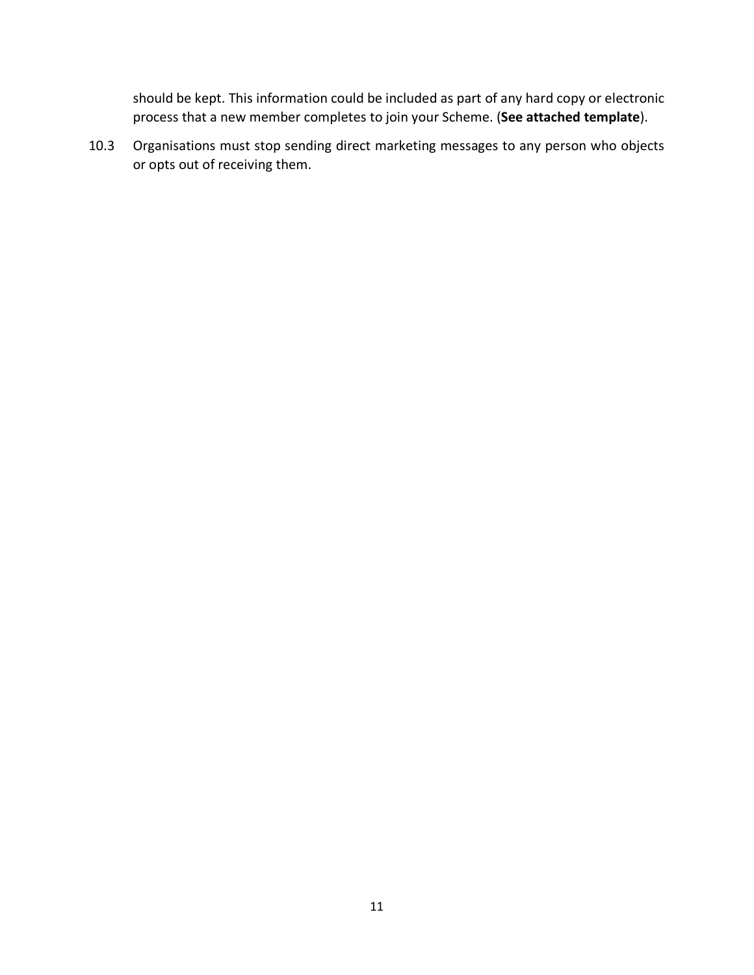should be kept. This information could be included as part of any hard copy or electronic process that a new member completes to join your Scheme. (**See attached template**).

10.3 Organisations must stop sending direct marketing messages to any person who objects or opts out of receiving them.